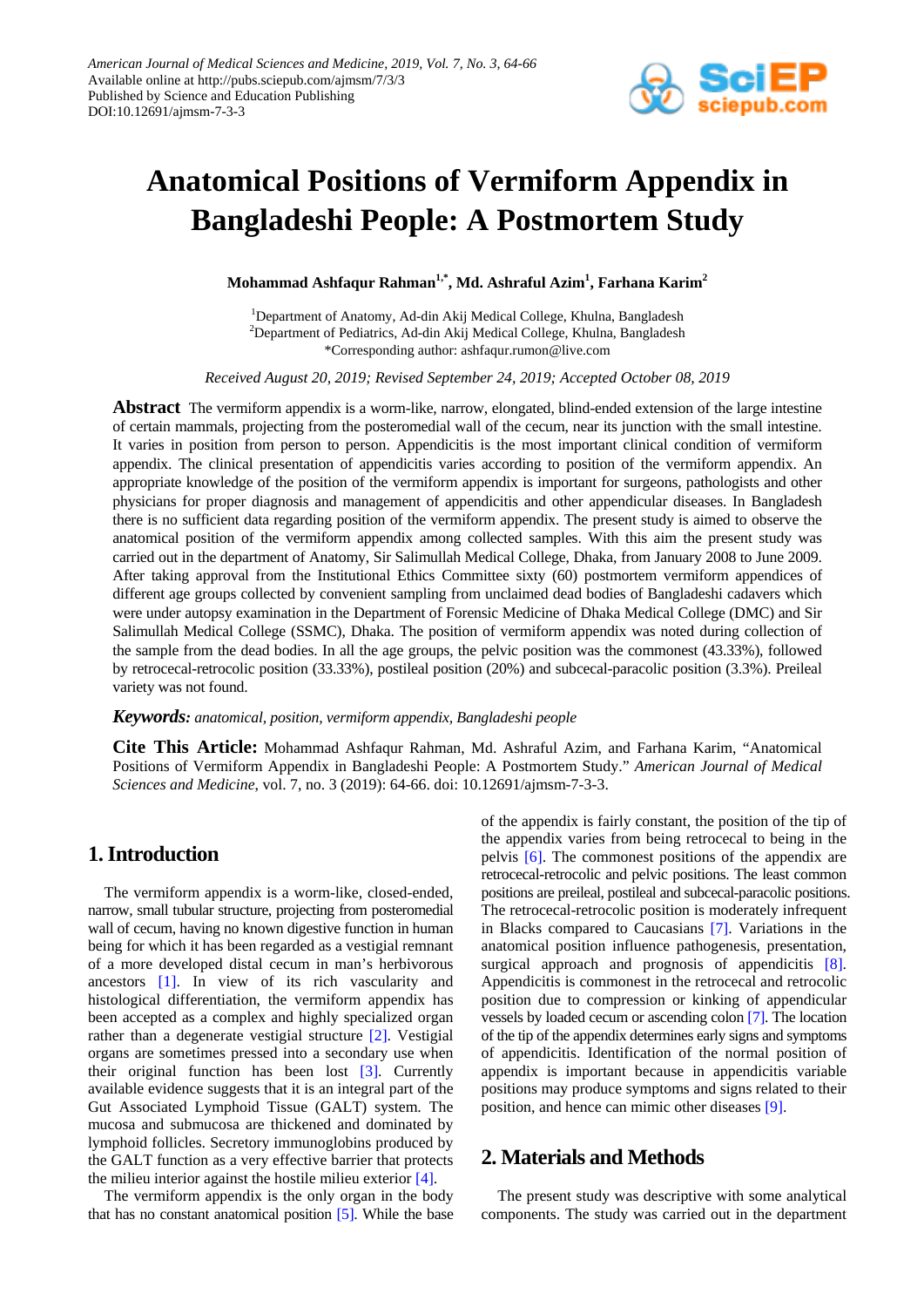

# **Anatomical Positions of Vermiform Appendix in Bangladeshi People: A Postmortem Study**

**Mohammad Ashfaqur Rahman1,\* , Md. Ashraful Azim<sup>1</sup> , Farhana Karim2**

<sup>1</sup>Department of Anatomy, Ad-din Akij Medical College, Khulna, Bangladesh <sup>2</sup>Department of Pediatrics, Ad-din Akij Medical College, Khulna, Bangladesh \*Corresponding author: ashfaqur.rumon@live.com

*Received August 20, 2019; Revised September 24, 2019; Accepted October 08, 2019*

**Abstract** The vermiform appendix is a worm-like, narrow, elongated, blind-ended extension of the large intestine of certain mammals, projecting from the posteromedial wall of the cecum, near its junction with the small intestine. It varies in position from person to person. Appendicitis is the most important clinical condition of vermiform appendix. The clinical presentation of appendicitis varies according to position of the vermiform appendix. An appropriate knowledge of the position of the vermiform appendix is important for surgeons, pathologists and other physicians for proper diagnosis and management of appendicitis and other appendicular diseases. In Bangladesh there is no sufficient data regarding position of the vermiform appendix. The present study is aimed to observe the anatomical position of the vermiform appendix among collected samples. With this aim the present study was carried out in the department of Anatomy, Sir Salimullah Medical College, Dhaka, from January 2008 to June 2009. After taking approval from the Institutional Ethics Committee sixty (60) postmortem vermiform appendices of different age groups collected by convenient sampling from unclaimed dead bodies of Bangladeshi cadavers which were under autopsy examination in the Department of Forensic Medicine of Dhaka Medical College (DMC) and Sir Salimullah Medical College (SSMC), Dhaka. The position of vermiform appendix was noted during collection of the sample from the dead bodies. In all the age groups, the pelvic position was the commonest (43.33%), followed by retrocecal-retrocolic position (33.33%), postileal position (20%) and subcecal-paracolic position (3.3%). Preileal variety was not found.

#### *Keywords: anatomical, position, vermiform appendix, Bangladeshi people*

**Cite This Article:** Mohammad Ashfaqur Rahman, Md. Ashraful Azim, and Farhana Karim, "Anatomical Positions of Vermiform Appendix in Bangladeshi People: A Postmortem Study." *American Journal of Medical Sciences and Medicine*, vol. 7, no. 3 (2019): 64-66. doi: 10.12691/ajmsm-7-3-3.

### **1. Introduction**

The vermiform appendix is a worm-like, closed-ended, narrow, small tubular structure, projecting from posteromedial wall of cecum, having no known digestive function in human being for which it has been regarded as a vestigial remnant of a more developed distal cecum in man's herbivorous ancestors [\[1\].](#page-2-0) In view of its rich vascularity and histological differentiation, the vermiform appendix has been accepted as a complex and highly specialized organ rather than a degenerate vestigial structure [\[2\].](#page-2-1) Vestigial organs are sometimes pressed into a secondary use when their original function has been lost [\[3\].](#page-2-2) Currently available evidence suggests that it is an integral part of the Gut Associated Lymphoid Tissue (GALT) system. The mucosa and submucosa are thickened and dominated by lymphoid follicles. Secretory immunoglobins produced by the GALT function as a very effective barrier that protects the milieu interior against the hostile milieu exterior [\[4\].](#page-2-3)

The vermiform appendix is the only organ in the body that has no constant anatomical position [\[5\].](#page-2-4) While the base of the appendix is fairly constant, the position of the tip of the appendix varies from being retrocecal to being in the pelvis [\[6\].](#page-2-5) The commonest positions of the appendix are retrocecal-retrocolic and pelvic positions. The least common positions are preileal, postileal and subcecal-paracolic positions. The retrocecal-retrocolic position is moderately infrequent in Blacks compared to Caucasians [\[7\].](#page-2-6) Variations in the anatomical position influence pathogenesis, presentation, surgical approach and prognosis of appendicitis [\[8\].](#page-2-7) Appendicitis is commonest in the retrocecal and retrocolic position due to compression or kinking of appendicular vessels by loaded cecum or ascending colon [\[7\].](#page-2-6) The location of the tip of the appendix determines early signs and symptoms of appendicitis. Identification of the normal position of appendix is important because in appendicitis variable positions may produce symptoms and signs related to their position, and hence can mimic other diseases [\[9\].](#page-2-8)

### **2. Materials and Methods**

The present study was descriptive with some analytical components. The study was carried out in the department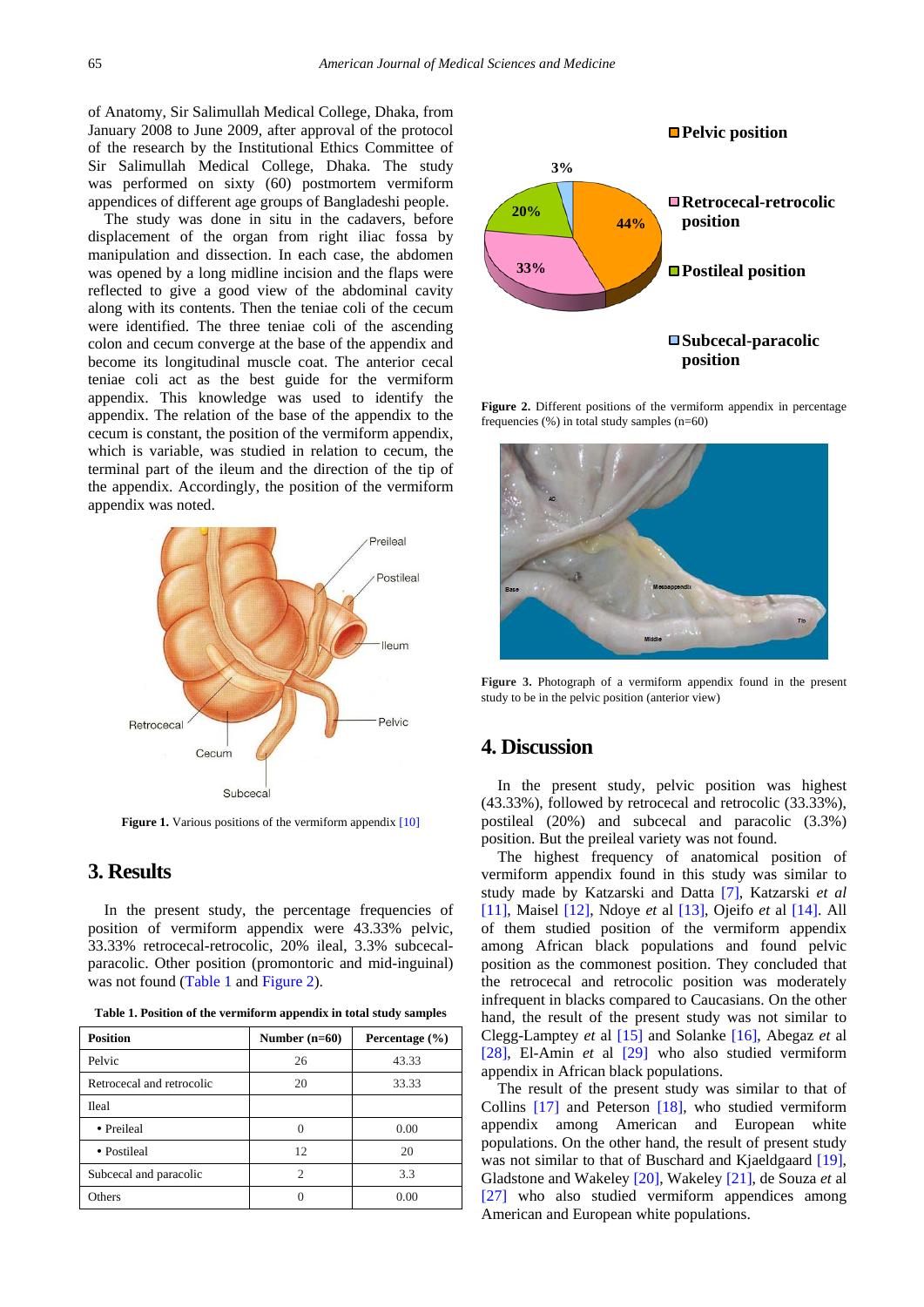of Anatomy, Sir Salimullah Medical College, Dhaka, from January 2008 to June 2009, after approval of the protocol of the research by the Institutional Ethics Committee of Sir Salimullah Medical College, Dhaka. The study was performed on sixty (60) postmortem vermiform appendices of different age groups of Bangladeshi people.

The study was done in situ in the cadavers, before displacement of the organ from right iliac fossa by manipulation and dissection. In each case, the abdomen was opened by a long midline incision and the flaps were reflected to give a good view of the abdominal cavity along with its contents. Then the teniae coli of the cecum were identified. The three teniae coli of the ascending colon and cecum converge at the base of the appendix and become its longitudinal muscle coat. The anterior cecal teniae coli act as the best guide for the vermiform appendix. This knowledge was used to identify the appendix. The relation of the base of the appendix to the cecum is constant, the position of the vermiform appendix, which is variable, was studied in relation to cecum, the terminal part of the ileum and the direction of the tip of the appendix. Accordingly, the position of the vermiform appendix was noted.



**Figure 1.** Various positions of the vermiform appendix [\[10\]](#page-2-9)

## **3. Results**

In the present study, the percentage frequencies of position of vermiform appendix were 43.33% pelvic, 33.33% retrocecal-retrocolic, 20% ileal, 3.3% subcecalparacolic. Other position (promontoric and mid-inguinal) was not found [\(Table 1](#page-1-0) and [Figure 2\)](#page-1-1).

<span id="page-1-0"></span>

| <b>Position</b>           | Number $(n=60)$ | Percentage $(\% )$ |
|---------------------------|-----------------|--------------------|
| Pelvic                    | 26              | 43.33              |
| Retrocecal and retrocolic | 20              | 33.33              |
| <b>Ileal</b>              |                 |                    |
| • Preileal                |                 | 0.00               |
| • Postileal               | 12.             | 20                 |
| Subcecal and paracolic    | 2               | 3.3                |
| Others                    |                 | 0.00               |

**Table 1. Position of the vermiform appendix in total study samples**

<span id="page-1-1"></span>

Figure 2. Different positions of the vermiform appendix in percentage frequencies  $(\%)$  in total study samples  $(n=60)$ 



**Figure 3.** Photograph of a vermiform appendix found in the present study to be in the pelvic position (anterior view)

#### **4. Discussion**

In the present study, pelvic position was highest (43.33%), followed by retrocecal and retrocolic (33.33%), postileal (20%) and subcecal and paracolic (3.3%) position. But the preileal variety was not found.

The highest frequency of anatomical position of vermiform appendix found in this study was similar to study made by Katzarski and Datta [\[7\],](#page-2-6) Katzarski *et al* [\[11\],](#page-2-10) Maisel [\[12\],](#page-2-11) Ndoye *et* al [\[13\],](#page-2-12) Ojeifo *et* al [\[14\].](#page-2-13) All of them studied position of the vermiform appendix among African black populations and found pelvic position as the commonest position. They concluded that the retrocecal and retrocolic position was moderately infrequent in blacks compared to Caucasians. On the other hand, the result of the present study was not similar to Clegg-Lamptey *et* al [\[15\]](#page-2-14) and Solanke [\[16\],](#page-2-15) Abegaz *et* al [\[28\],](#page-2-16) El-Amin *et* al [\[29\]](#page-2-17) who also studied vermiform appendix in African black populations.

The result of the present study was similar to that of Collins [\[17\]](#page-2-18) and Peterson [\[18\],](#page-2-19) who studied vermiform appendix among American and European white populations. On the other hand, the result of present study was not similar to that of Buschard and Kjaeldgaard [\[19\],](#page-2-20) Gladstone and Wakeley [\[20\],](#page-2-21) Wakeley [\[21\],](#page-2-22) de Souza *et* al [\[27\]](#page-2-23) who also studied vermiform appendices among American and European white populations.